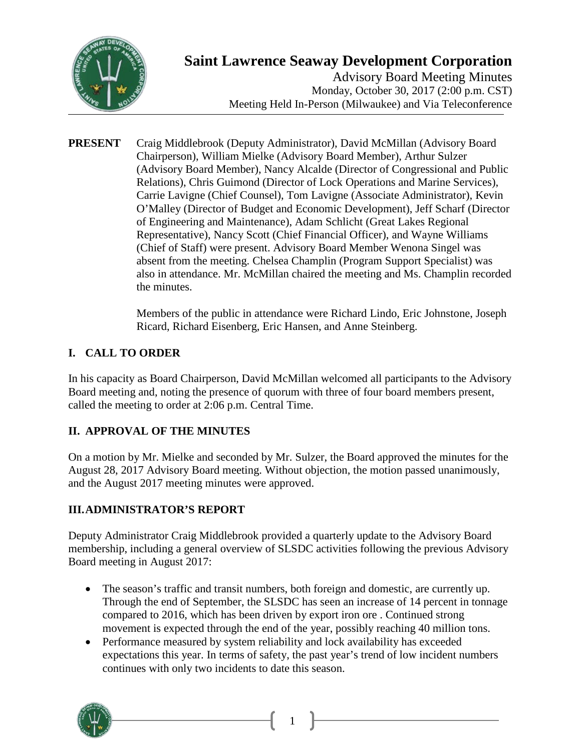

# **Saint Lawrence Seaway Development Corporation**

Advisory Board Meeting Minutes Monday, October 30, 2017 (2:00 p.m. CST) Meeting Held In-Person (Milwaukee) and Via Teleconference

**PRESENT** Craig Middlebrook (Deputy Administrator), David McMillan (Advisory Board Chairperson), William Mielke (Advisory Board Member), Arthur Sulzer (Advisory Board Member), Nancy Alcalde (Director of Congressional and Public Relations), Chris Guimond (Director of Lock Operations and Marine Services), Carrie Lavigne (Chief Counsel), Tom Lavigne (Associate Administrator), Kevin O'Malley (Director of Budget and Economic Development), Jeff Scharf (Director of Engineering and Maintenance), Adam Schlicht (Great Lakes Regional Representative), Nancy Scott (Chief Financial Officer), and Wayne Williams (Chief of Staff) were present. Advisory Board Member Wenona Singel was absent from the meeting. Chelsea Champlin (Program Support Specialist) was also in attendance. Mr. McMillan chaired the meeting and Ms. Champlin recorded the minutes.

> Members of the public in attendance were Richard Lindo, Eric Johnstone, Joseph Ricard, Richard Eisenberg, Eric Hansen, and Anne Steinberg.

# **I. CALL TO ORDER**

In his capacity as Board Chairperson, David McMillan welcomed all participants to the Advisory Board meeting and, noting the presence of quorum with three of four board members present, called the meeting to order at 2:06 p.m. Central Time.

# **II. APPROVAL OF THE MINUTES**

On a motion by Mr. Mielke and seconded by Mr. Sulzer, the Board approved the minutes for the August 28, 2017 Advisory Board meeting. Without objection, the motion passed unanimously, and the August 2017 meeting minutes were approved.

#### **III.ADMINISTRATOR'S REPORT**

Deputy Administrator Craig Middlebrook provided a quarterly update to the Advisory Board membership, including a general overview of SLSDC activities following the previous Advisory Board meeting in August 2017:

- The season's traffic and transit numbers, both foreign and domestic, are currently up. Through the end of September, the SLSDC has seen an increase of 14 percent in tonnage compared to 2016, which has been driven by export iron ore . Continued strong movement is expected through the end of the year, possibly reaching 40 million tons.
- Performance measured by system reliability and lock availability has exceeded expectations this year. In terms of safety, the past year's trend of low incident numbers continues with only two incidents to date this season.

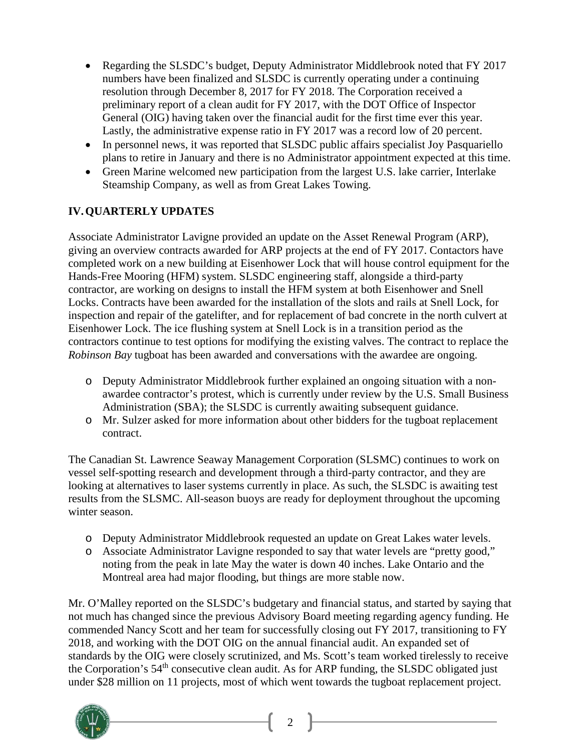- Regarding the SLSDC's budget, Deputy Administrator Middlebrook noted that FY 2017 numbers have been finalized and SLSDC is currently operating under a continuing resolution through December 8, 2017 for FY 2018. The Corporation received a preliminary report of a clean audit for FY 2017, with the DOT Office of Inspector General (OIG) having taken over the financial audit for the first time ever this year. Lastly, the administrative expense ratio in FY 2017 was a record low of 20 percent.
- In personnel news, it was reported that SLSDC public affairs specialist Joy Pasquariello plans to retire in January and there is no Administrator appointment expected at this time.
- Green Marine welcomed new participation from the largest U.S. lake carrier, Interlake Steamship Company, as well as from Great Lakes Towing.

# **IV.QUARTERLY UPDATES**

Associate Administrator Lavigne provided an update on the Asset Renewal Program (ARP), giving an overview contracts awarded for ARP projects at the end of FY 2017. Contactors have completed work on a new building at Eisenhower Lock that will house control equipment for the Hands-Free Mooring (HFM) system. SLSDC engineering staff, alongside a third-party contractor, are working on designs to install the HFM system at both Eisenhower and Snell Locks. Contracts have been awarded for the installation of the slots and rails at Snell Lock, for inspection and repair of the gatelifter, and for replacement of bad concrete in the north culvert at Eisenhower Lock. The ice flushing system at Snell Lock is in a transition period as the contractors continue to test options for modifying the existing valves. The contract to replace the *Robinson Bay* tugboat has been awarded and conversations with the awardee are ongoing.

- o Deputy Administrator Middlebrook further explained an ongoing situation with a nonawardee contractor's protest, which is currently under review by the U.S. Small Business Administration (SBA); the SLSDC is currently awaiting subsequent guidance.
- o Mr. Sulzer asked for more information about other bidders for the tugboat replacement contract.

The Canadian St. Lawrence Seaway Management Corporation (SLSMC) continues to work on vessel self-spotting research and development through a third-party contractor, and they are looking at alternatives to laser systems currently in place. As such, the SLSDC is awaiting test results from the SLSMC. All-season buoys are ready for deployment throughout the upcoming winter season.

- o Deputy Administrator Middlebrook requested an update on Great Lakes water levels.
- o Associate Administrator Lavigne responded to say that water levels are "pretty good," noting from the peak in late May the water is down 40 inches. Lake Ontario and the Montreal area had major flooding, but things are more stable now.

Mr. O'Malley reported on the SLSDC's budgetary and financial status, and started by saying that not much has changed since the previous Advisory Board meeting regarding agency funding. He commended Nancy Scott and her team for successfully closing out FY 2017, transitioning to FY 2018, and working with the DOT OIG on the annual financial audit. An expanded set of standards by the OIG were closely scrutinized, and Ms. Scott's team worked tirelessly to receive the Corporation's 54th consecutive clean audit. As for ARP funding, the SLSDC obligated just under \$28 million on 11 projects, most of which went towards the tugboat replacement project.

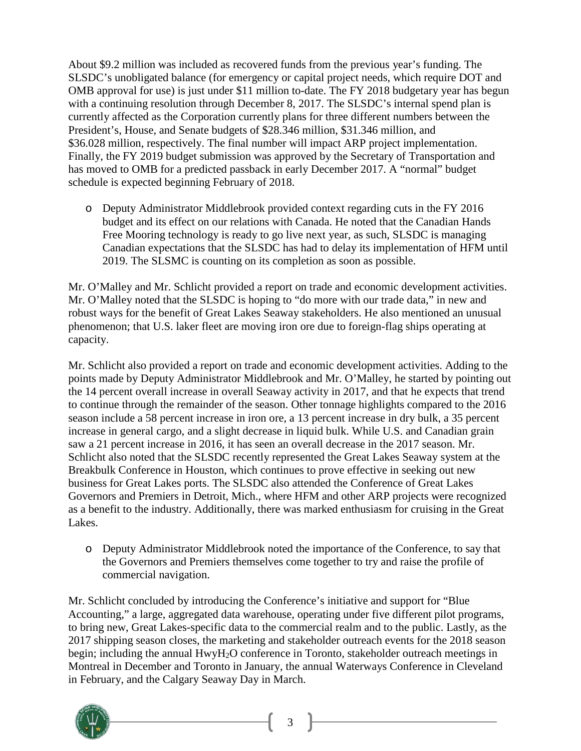About \$9.2 million was included as recovered funds from the previous year's funding. The SLSDC's unobligated balance (for emergency or capital project needs, which require DOT and OMB approval for use) is just under \$11 million to-date. The FY 2018 budgetary year has begun with a continuing resolution through December 8, 2017. The SLSDC's internal spend plan is currently affected as the Corporation currently plans for three different numbers between the President's, House, and Senate budgets of \$28.346 million, \$31.346 million, and \$36.028 million, respectively. The final number will impact ARP project implementation. Finally, the FY 2019 budget submission was approved by the Secretary of Transportation and has moved to OMB for a predicted passback in early December 2017. A "normal" budget schedule is expected beginning February of 2018.

o Deputy Administrator Middlebrook provided context regarding cuts in the FY 2016 budget and its effect on our relations with Canada. He noted that the Canadian Hands Free Mooring technology is ready to go live next year, as such, SLSDC is managing Canadian expectations that the SLSDC has had to delay its implementation of HFM until 2019. The SLSMC is counting on its completion as soon as possible.

Mr. O'Malley and Mr. Schlicht provided a report on trade and economic development activities. Mr. O'Malley noted that the SLSDC is hoping to "do more with our trade data," in new and robust ways for the benefit of Great Lakes Seaway stakeholders. He also mentioned an unusual phenomenon; that U.S. laker fleet are moving iron ore due to foreign-flag ships operating at capacity.

Mr. Schlicht also provided a report on trade and economic development activities. Adding to the points made by Deputy Administrator Middlebrook and Mr. O'Malley, he started by pointing out the 14 percent overall increase in overall Seaway activity in 2017, and that he expects that trend to continue through the remainder of the season. Other tonnage highlights compared to the 2016 season include a 58 percent increase in iron ore, a 13 percent increase in dry bulk, a 35 percent increase in general cargo, and a slight decrease in liquid bulk. While U.S. and Canadian grain saw a 21 percent increase in 2016, it has seen an overall decrease in the 2017 season. Mr. Schlicht also noted that the SLSDC recently represented the Great Lakes Seaway system at the Breakbulk Conference in Houston, which continues to prove effective in seeking out new business for Great Lakes ports. The SLSDC also attended the Conference of Great Lakes Governors and Premiers in Detroit, Mich., where HFM and other ARP projects were recognized as a benefit to the industry. Additionally, there was marked enthusiasm for cruising in the Great Lakes.

o Deputy Administrator Middlebrook noted the importance of the Conference, to say that the Governors and Premiers themselves come together to try and raise the profile of commercial navigation.

Mr. Schlicht concluded by introducing the Conference's initiative and support for "Blue Accounting," a large, aggregated data warehouse, operating under five different pilot programs, to bring new, Great Lakes-specific data to the commercial realm and to the public. Lastly, as the 2017 shipping season closes, the marketing and stakeholder outreach events for the 2018 season begin; including the annual HwyH<sub>2</sub>O conference in Toronto, stakeholder outreach meetings in Montreal in December and Toronto in January, the annual Waterways Conference in Cleveland in February, and the Calgary Seaway Day in March.

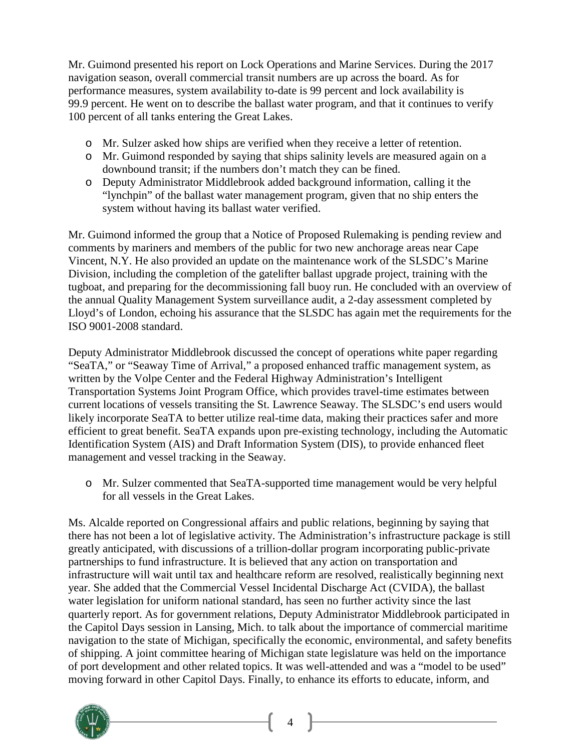Mr. Guimond presented his report on Lock Operations and Marine Services. During the 2017 navigation season, overall commercial transit numbers are up across the board. As for performance measures, system availability to-date is 99 percent and lock availability is 99.9 percent. He went on to describe the ballast water program, and that it continues to verify 100 percent of all tanks entering the Great Lakes.

- o Mr. Sulzer asked how ships are verified when they receive a letter of retention.
- o Mr. Guimond responded by saying that ships salinity levels are measured again on a downbound transit; if the numbers don't match they can be fined.
- o Deputy Administrator Middlebrook added background information, calling it the "lynchpin" of the ballast water management program, given that no ship enters the system without having its ballast water verified.

Mr. Guimond informed the group that a Notice of Proposed Rulemaking is pending review and comments by mariners and members of the public for two new anchorage areas near Cape Vincent, N.Y. He also provided an update on the maintenance work of the SLSDC's Marine Division, including the completion of the gatelifter ballast upgrade project, training with the tugboat, and preparing for the decommissioning fall buoy run. He concluded with an overview of the annual Quality Management System surveillance audit, a 2-day assessment completed by Lloyd's of London, echoing his assurance that the SLSDC has again met the requirements for the ISO 9001-2008 standard.

Deputy Administrator Middlebrook discussed the concept of operations white paper regarding "SeaTA," or "Seaway Time of Arrival," a proposed enhanced traffic management system, as written by the Volpe Center and the Federal Highway Administration's Intelligent Transportation Systems Joint Program Office, which provides travel-time estimates between current locations of vessels transiting the St. Lawrence Seaway. The SLSDC's end users would likely incorporate SeaTA to better utilize real-time data, making their practices safer and more efficient to great benefit. SeaTA expands upon pre-existing technology, including the Automatic Identification System (AIS) and Draft Information System (DIS), to provide enhanced fleet management and vessel tracking in the Seaway.

o Mr. Sulzer commented that SeaTA-supported time management would be very helpful for all vessels in the Great Lakes.

Ms. Alcalde reported on Congressional affairs and public relations, beginning by saying that there has not been a lot of legislative activity. The Administration's infrastructure package is still greatly anticipated, with discussions of a trillion-dollar program incorporating public-private partnerships to fund infrastructure. It is believed that any action on transportation and infrastructure will wait until tax and healthcare reform are resolved, realistically beginning next year. She added that the Commercial Vessel Incidental Discharge Act (CVIDA), the ballast water legislation for uniform national standard, has seen no further activity since the last quarterly report. As for government relations, Deputy Administrator Middlebrook participated in the Capitol Days session in Lansing, Mich. to talk about the importance of commercial maritime navigation to the state of Michigan, specifically the economic, environmental, and safety benefits of shipping. A joint committee hearing of Michigan state legislature was held on the importance of port development and other related topics. It was well-attended and was a "model to be used" moving forward in other Capitol Days. Finally, to enhance its efforts to educate, inform, and

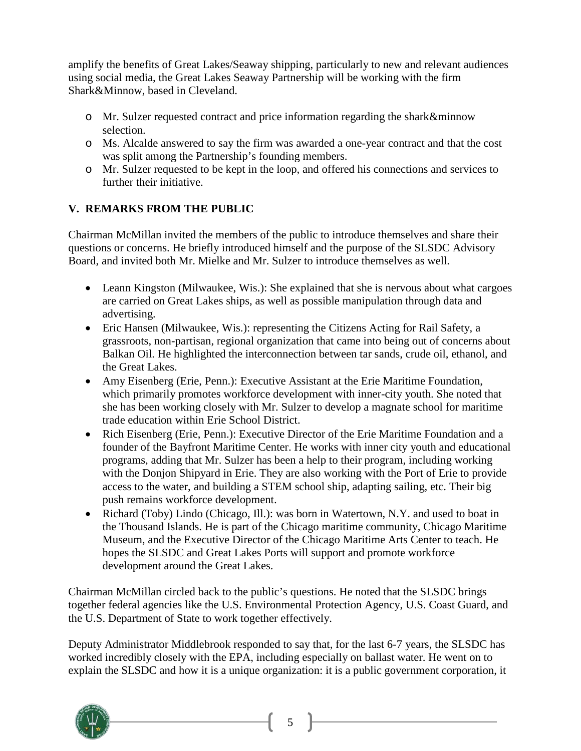amplify the benefits of Great Lakes/Seaway shipping, particularly to new and relevant audiences using social media, the Great Lakes Seaway Partnership will be working with the firm Shark&Minnow, based in Cleveland.

- o Mr. Sulzer requested contract and price information regarding the shark&minnow selection.
- o Ms. Alcalde answered to say the firm was awarded a one-year contract and that the cost was split among the Partnership's founding members.
- o Mr. Sulzer requested to be kept in the loop, and offered his connections and services to further their initiative.

#### **V. REMARKS FROM THE PUBLIC**

Chairman McMillan invited the members of the public to introduce themselves and share their questions or concerns. He briefly introduced himself and the purpose of the SLSDC Advisory Board, and invited both Mr. Mielke and Mr. Sulzer to introduce themselves as well.

- Leann Kingston (Milwaukee, Wis.): She explained that she is nervous about what cargoes are carried on Great Lakes ships, as well as possible manipulation through data and advertising.
- Eric Hansen (Milwaukee, Wis.): representing the Citizens Acting for Rail Safety, a grassroots, non-partisan, regional organization that came into being out of concerns about Balkan Oil. He highlighted the interconnection between tar sands, crude oil, ethanol, and the Great Lakes.
- Amy Eisenberg (Erie, Penn.): Executive Assistant at the Erie Maritime Foundation, which primarily promotes workforce development with inner-city youth. She noted that she has been working closely with Mr. Sulzer to develop a magnate school for maritime trade education within Erie School District.
- Rich Eisenberg (Erie, Penn.): Executive Director of the Erie Maritime Foundation and a founder of the Bayfront Maritime Center. He works with inner city youth and educational programs, adding that Mr. Sulzer has been a help to their program, including working with the Donjon Shipyard in Erie. They are also working with the Port of Erie to provide access to the water, and building a STEM school ship, adapting sailing, etc. Their big push remains workforce development.
- Richard (Toby) Lindo (Chicago, Ill.): was born in Watertown, N.Y. and used to boat in the Thousand Islands. He is part of the Chicago maritime community, Chicago Maritime Museum, and the Executive Director of the Chicago Maritime Arts Center to teach. He hopes the SLSDC and Great Lakes Ports will support and promote workforce development around the Great Lakes.

Chairman McMillan circled back to the public's questions. He noted that the SLSDC brings together federal agencies like the U.S. Environmental Protection Agency, U.S. Coast Guard, and the U.S. Department of State to work together effectively.

Deputy Administrator Middlebrook responded to say that, for the last 6-7 years, the SLSDC has worked incredibly closely with the EPA, including especially on ballast water. He went on to explain the SLSDC and how it is a unique organization: it is a public government corporation, it